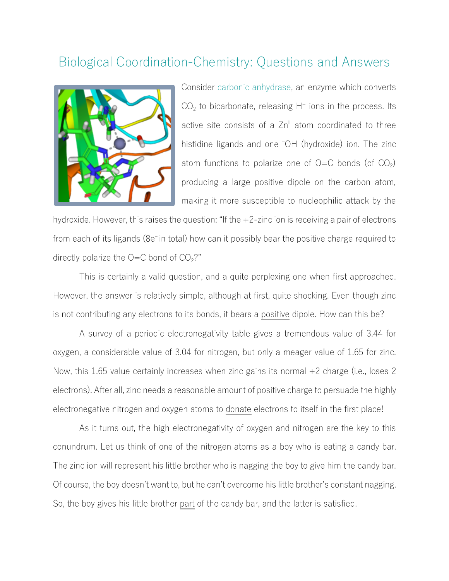## Biological Coordination-Chemistry: Questions and Answers



Consider carbonic anhydrase, an enzyme which converts  $CO<sub>2</sub>$  to bicarbonate, releasing H<sup>+</sup> ions in the process. Its active site consists of a  $Zn^{\parallel}$  atom coordinated to three histidine ligands and one <sup>-</sup>OH (hydroxide) ion. The zinc atom functions to polarize one of  $O=C$  bonds (of  $CO<sub>2</sub>$ ) producing a large positive dipole on the carbon atom, making it more susceptible to nucleophilic attack by the

hydroxide. However, this raises the question: "If the  $+2$ -zinc ion is receiving a pair of electrons from each of its ligands (8e<sup>-</sup> in total) how can it possibly bear the positive charge required to directly polarize the  $O=C$  bond of  $CO<sub>2</sub>$ ?"

This is certainly a valid question, and a quite perplexing one when first approached. However, the answer is relatively simple, although at first, quite shocking. Even though zinc is not contributing any electrons to its bonds, it bears a positive dipole. How can this be?

A survey of a periodic electronegativity table gives a tremendous value of 3.44 for oxygen, a considerable value of 3.04 for nitrogen, but only a meager value of 1.65 for zinc. Now, this 1.65 value certainly increases when zinc gains its normal  $+2$  charge (i.e., loses 2 electrons). After all, zinc needs a reasonable amount of positive charge to persuade the highly electronegative nitrogen and oxygen atoms to donate electrons to itself in the first place!

As it turns out, the high electronegativity of oxygen and nitrogen are the key to this conundrum. Let us think of one of the nitrogen atoms as a boy who is eating a candy bar. The zinc ion will represent his little brother who is nagging the boy to give him the candy bar. Of course, the boy doesn't want to, but he can't overcome his little brother's constant nagging. So, the boy gives his little brother part of the candy bar, and the latter is satisfied.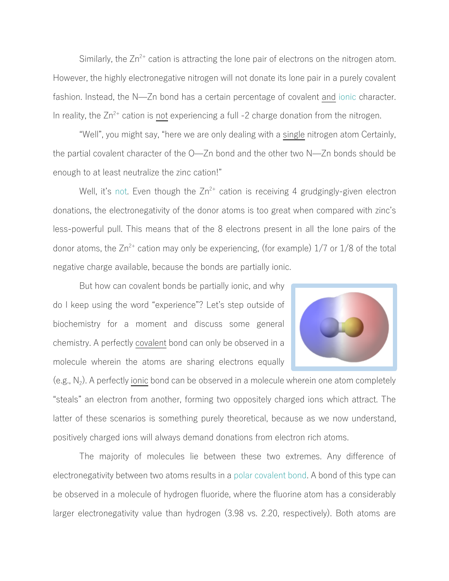Similarly, the  $Zn^{2+}$  cation is attracting the lone pair of electrons on the nitrogen atom. However, the highly electronegative nitrogen will not donate its lone pair in a purely covalent fashion. Instead, the N—Zn bond has a certain percentage of covalent and ionic character. In reality, the  $Zn^{2+}$  cation is not experiencing a full -2 charge donation from the nitrogen.

"Well", you might say, "here we are only dealing with a single nitrogen atom Certainly, the partial covalent character of the O̶Zn bond and the other two N̶Zn bonds should be enough to at least neutralize the zinc cation!"

Well, it's not. Even though the  $Zn^{2+}$  cation is receiving 4 grudgingly-given electron donations, the electronegativity of the donor atoms is too great when compared with zinc's less-powerful pull. This means that of the 8 electrons present in all the lone pairs of the donor atoms, the  $Zn^{2+}$  cation may only be experiencing, (for example)  $1/7$  or  $1/8$  of the total negative charge available, because the bonds are partially ionic.

But how can covalent bonds be partially ionic, and why do I keep using the word "experience"? Let's step outside of biochemistry for a moment and discuss some general chemistry. A perfectly covalent bond can only be observed in a molecule wherein the atoms are sharing electrons equally



(e.g.,  $N_2$ ). A perfectly ionic bond can be observed in a molecule wherein one atom completely "steals" an electron from another, forming two oppositely charged ions which attract. The latter of these scenarios is something purely theoretical, because as we now understand, positively charged ions will always demand donations from electron rich atoms.

The majority of molecules lie between these two extremes. Any difference of electronegativity between two atoms results in a polar covalent bond. A bond of this type can be observed in a molecule of hydrogen fluoride, where the fluorine atom has a considerably larger electronegativity value than hydrogen (3.98 vs. 2.20, respectively). Both atoms are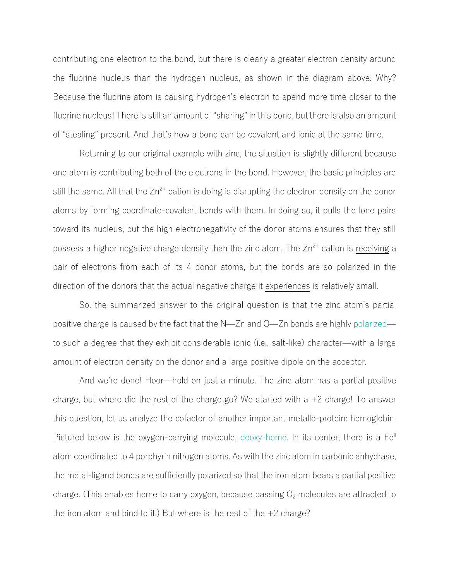contributing one electron to the bond, but there is clearly a greater electron density around the fluorine nucleus than the hydrogen nucleus, as shown in the diagram above. Why? Because the fluorine atom is causing hydrogen's electron to spend more time closer to the fluorine nucleus! There is still an amount of "sharing" in this bond, but there is also an amount of "stealing" present. And that's how a bond can be covalent and ionic at the same time.

Returning to our original example with zinc, the situation is slightly different because one atom is contributing both of the electrons in the bond. However, the basic principles are still the same. All that the  $Zn^{2+}$  cation is doing is disrupting the electron density on the donor atoms by forming coordinate-covalent bonds with them. In doing so, it pulls the lone pairs toward its nucleus, but the high electronegativity of the donor atoms ensures that they still possess a higher negative charge density than the zinc atom. The  $Zn^{2+}$  cation is receiving a pair of electrons from each of its 4 donor atoms, but the bonds are so polarized in the direction of the donors that the actual negative charge it experiences is relatively small.

So, the summarized answer to the original question is that the zinc atom's partial positive charge is caused by the fact that the N̶Zn and O̶Zn bonds are highly polarized̶ to such a degree that they exhibit considerable ionic (i.e., salt-like) character̶with a large amount of electron density on the donor and a large positive dipole on the acceptor.

And we're done! Hoor̶hold on just a minute. The zinc atom has a partial positive charge, but where did the rest of the charge go? We started with a +2 charge! To answer this question, let us analyze the cofactor of another important metallo-protein: hemoglobin. Pictured below is the oxygen-carrying molecule, deoxy-heme. In its center, there is a Fe<sup>II</sup> atom coordinated to 4 porphyrin nitrogen atoms. As with the zinc atom in carbonic anhydrase, the metal-ligand bonds are sufficiently polarized so that the iron atom bears a partial positive charge. (This enables heme to carry oxygen, because passing  $O<sub>2</sub>$  molecules are attracted to the iron atom and bind to it.) But where is the rest of the  $+2$  charge?